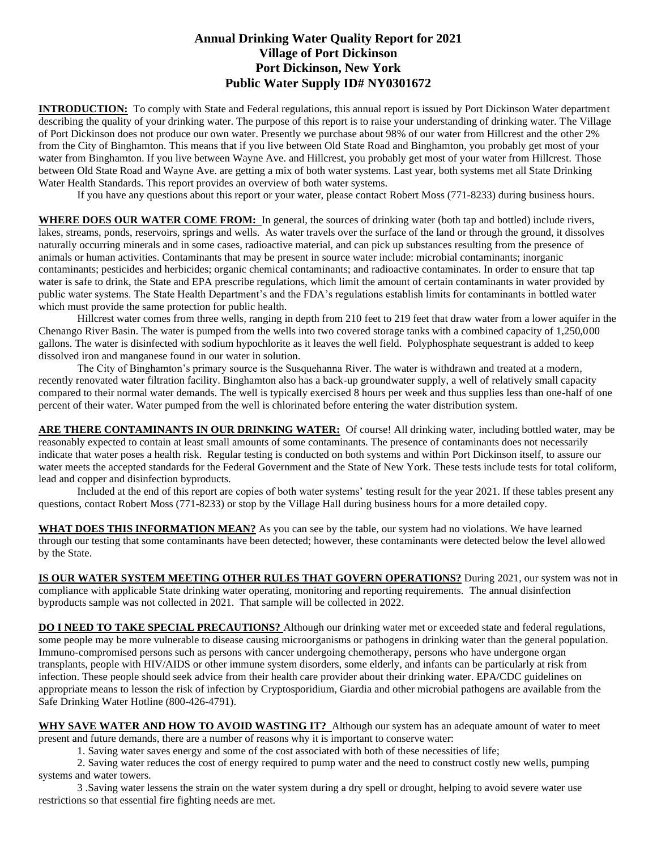# **Annual Drinking Water Quality Report for 2021 Village of Port Dickinson Port Dickinson, New York Public Water Supply ID# NY0301672**

**INTRODUCTION:** To comply with State and Federal regulations, this annual report is issued by Port Dickinson Water department describing the quality of your drinking water. The purpose of this report is to raise your understanding of drinking water. The Village of Port Dickinson does not produce our own water. Presently we purchase about 98% of our water from Hillcrest and the other 2% from the City of Binghamton. This means that if you live between Old State Road and Binghamton, you probably get most of your water from Binghamton. If you live between Wayne Ave. and Hillcrest, you probably get most of your water from Hillcrest. Those between Old State Road and Wayne Ave. are getting a mix of both water systems. Last year, both systems met all State Drinking Water Health Standards. This report provides an overview of both water systems.

If you have any questions about this report or your water, please contact Robert Moss (771-8233) during business hours.

**WHERE DOES OUR WATER COME FROM:** In general, the sources of drinking water (both tap and bottled) include rivers, lakes, streams, ponds, reservoirs, springs and wells. As water travels over the surface of the land or through the ground, it dissolves naturally occurring minerals and in some cases, radioactive material, and can pick up substances resulting from the presence of animals or human activities. Contaminants that may be present in source water include: microbial contaminants; inorganic contaminants; pesticides and herbicides; organic chemical contaminants; and radioactive contaminates. In order to ensure that tap water is safe to drink, the State and EPA prescribe regulations, which limit the amount of certain contaminants in water provided by public water systems. The State Health Department's and the FDA's regulations establish limits for contaminants in bottled water which must provide the same protection for public health.

Hillcrest water comes from three wells, ranging in depth from 210 feet to 219 feet that draw water from a lower aquifer in the Chenango River Basin. The water is pumped from the wells into two covered storage tanks with a combined capacity of 1,250,000 gallons. The water is disinfected with sodium hypochlorite as it leaves the well field. Polyphosphate sequestrant is added to keep dissolved iron and manganese found in our water in solution.

The City of Binghamton's primary source is the Susquehanna River. The water is withdrawn and treated at a modern, recently renovated water filtration facility. Binghamton also has a back-up groundwater supply, a well of relatively small capacity compared to their normal water demands. The well is typically exercised 8 hours per week and thus supplies less than one-half of one percent of their water. Water pumped from the well is chlorinated before entering the water distribution system.

**ARE THERE CONTAMINANTS IN OUR DRINKING WATER:** Of course! All drinking water, including bottled water, may be reasonably expected to contain at least small amounts of some contaminants. The presence of contaminants does not necessarily indicate that water poses a health risk. Regular testing is conducted on both systems and within Port Dickinson itself, to assure our water meets the accepted standards for the Federal Government and the State of New York. These tests include tests for total coliform, lead and copper and disinfection byproducts.

Included at the end of this report are copies of both water systems' testing result for the year 2021. If these tables present any questions, contact Robert Moss (771-8233) or stop by the Village Hall during business hours for a more detailed copy.

WHAT DOES THIS INFORMATION MEAN? As you can see by the table, our system had no violations. We have learned through our testing that some contaminants have been detected; however, these contaminants were detected below the level allowed by the State.

**IS OUR WATER SYSTEM MEETING OTHER RULES THAT GOVERN OPERATIONS?** During 2021, our system was not in compliance with applicable State drinking water operating, monitoring and reporting requirements. The annual disinfection byproducts sample was not collected in 2021. That sample will be collected in 2022.

**DO I NEED TO TAKE SPECIAL PRECAUTIONS?** Although our drinking water met or exceeded state and federal regulations, some people may be more vulnerable to disease causing microorganisms or pathogens in drinking water than the general population. Immuno-compromised persons such as persons with cancer undergoing chemotherapy, persons who have undergone organ transplants, people with HIV/AIDS or other immune system disorders, some elderly, and infants can be particularly at risk from infection. These people should seek advice from their health care provider about their drinking water. EPA/CDC guidelines on appropriate means to lesson the risk of infection by Cryptosporidium, Giardia and other microbial pathogens are available from the Safe Drinking Water Hotline (800-426-4791).

**WHY SAVE WATER AND HOW TO AVOID WASTING IT?** Although our system has an adequate amount of water to meet present and future demands, there are a number of reasons why it is important to conserve water:

1. Saving water saves energy and some of the cost associated with both of these necessities of life;

2. Saving water reduces the cost of energy required to pump water and the need to construct costly new wells, pumping systems and water towers.

3 .Saving water lessens the strain on the water system during a dry spell or drought, helping to avoid severe water use restrictions so that essential fire fighting needs are met.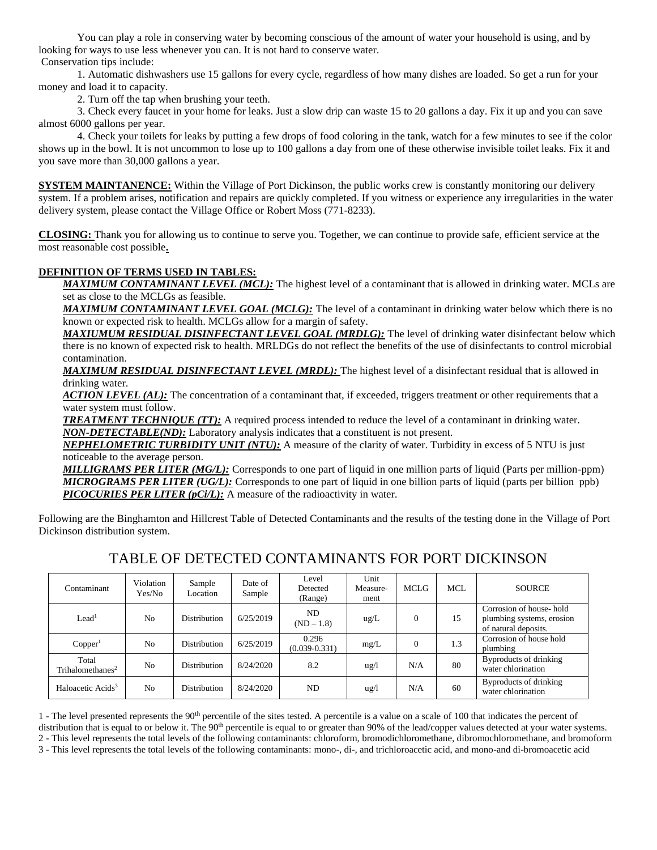You can play a role in conserving water by becoming conscious of the amount of water your household is using, and by looking for ways to use less whenever you can. It is not hard to conserve water. Conservation tips include:

1. Automatic dishwashers use 15 gallons for every cycle, regardless of how many dishes are loaded. So get a run for your money and load it to capacity.

2. Turn off the tap when brushing your teeth.

3. Check every faucet in your home for leaks. Just a slow drip can waste 15 to 20 gallons a day. Fix it up and you can save almost 6000 gallons per year.

4. Check your toilets for leaks by putting a few drops of food coloring in the tank, watch for a few minutes to see if the color shows up in the bowl. It is not uncommon to lose up to 100 gallons a day from one of these otherwise invisible toilet leaks. Fix it and you save more than 30,000 gallons a year.

**SYSTEM MAINTANENCE:** Within the Village of Port Dickinson, the public works crew is constantly monitoring our delivery system. If a problem arises, notification and repairs are quickly completed. If you witness or experience any irregularities in the water delivery system, please contact the Village Office or Robert Moss (771-8233).

**CLOSING:** Thank you for allowing us to continue to serve you. Together, we can continue to provide safe, efficient service at the most reasonable cost possible**.**

## **DEFINITION OF TERMS USED IN TABLES:**

*MAXIMUM CONTAMINANT LEVEL (MCL)*: The highest level of a contaminant that is allowed in drinking water. MCLs are set as close to the MCLGs as feasible.

*MAXIMUM CONTAMINANT LEVEL GOAL (MCLG)*: The level of a contaminant in drinking water below which there is no known or expected risk to health. MCLGs allow for a margin of safety.

*MAXIUMUM RESIDUAL DISINFECTANT LEVEL GOAL (MRDLG)*: The level of drinking water disinfectant below which there is no known of expected risk to health. MRLDGs do not reflect the benefits of the use of disinfectants to control microbial contamination.

*MAXIMUM RESIDUAL DISINFECTANT LEVEL (MRDL):* The highest level of a disinfectant residual that is allowed in drinking water.

*ACTION LEVEL (AL)*: The concentration of a contaminant that, if exceeded, triggers treatment or other requirements that a water system must follow.

*TREATMENT TECHNIQUE (TT):* A required process intended to reduce the level of a contaminant in drinking water. *NON-DETECTABLE(ND):* Laboratory analysis indicates that a constituent is not present.

*NEPHELOMETRIC TURBIDITY UNIT (NTU):* A measure of the clarity of water. Turbidity in excess of 5 NTU is just noticeable to the average person.

*MILLIGRAMS PER LITER (MG/L):* Corresponds to one part of liquid in one million parts of liquid (Parts per million-ppm) *MICROGRAMS PER LITER (UG/L):* Corresponds to one part of liquid in one billion parts of liquid (parts per billion ppb) **PICOCURIES PER LITER (pCi/L):** A measure of the radioactivity in water.

Following are the Binghamton and Hillcrest Table of Detected Contaminants and the results of the testing done in the Village of Port Dickinson distribution system.

| Contaminant                           | Violation<br>Yes/No | Sample<br>Location  | Date of<br>Sample | Level<br>Detected<br>(Range) | Unit<br>Measure-<br>ment | <b>MCLG</b> | MCL | <b>SOURCE</b>                                                                |
|---------------------------------------|---------------------|---------------------|-------------------|------------------------------|--------------------------|-------------|-----|------------------------------------------------------------------------------|
| Lead <sup>1</sup>                     | N <sub>0</sub>      | <b>Distribution</b> | 6/25/2019         | ND.<br>$(ND - 1.8)$          | ug/L                     |             | 15  | Corrosion of house-hold<br>plumbing systems, erosion<br>of natural deposits. |
| Copper <sup>1</sup>                   | N <sub>0</sub>      | Distribution        | 6/25/2019         | 0.296<br>$(0.039 - 0.331)$   | mg/L                     |             | 1.3 | Corrosion of house hold<br>plumbing                                          |
| Total<br>Trihalomethanes <sup>2</sup> | N <sub>0</sub>      | Distribution        | 8/24/2020         | 8.2                          | $\frac{u g}{l}$          | N/A         | 80  | Byproducts of drinking<br>water chlorination                                 |
| Haloacetic Acids <sup>3</sup>         | N <sub>0</sub>      | Distribution        | 8/24/2020         | ND.                          | $\frac{u g}{l}$          | N/A         | 60  | Byproducts of drinking<br>water chlorination                                 |

# TABLE OF DETECTED CONTAMINANTS FOR PORT DICKINSON

1 - The level presented represents the 90<sup>th</sup> percentile of the sites tested. A percentile is a value on a scale of 100 that indicates the percent of distribution that is equal to or below it. The 90<sup>th</sup> percentile is equal to or greater than 90% of the lead/copper values detected at your water systems.

2 - This level represents the total levels of the following contaminants: chloroform, bromodichloromethane, dibromochloromethane, and bromoform

3 - This level represents the total levels of the following contaminants: mono-, di-, and trichloroacetic acid, and mono-and di-bromoacetic acid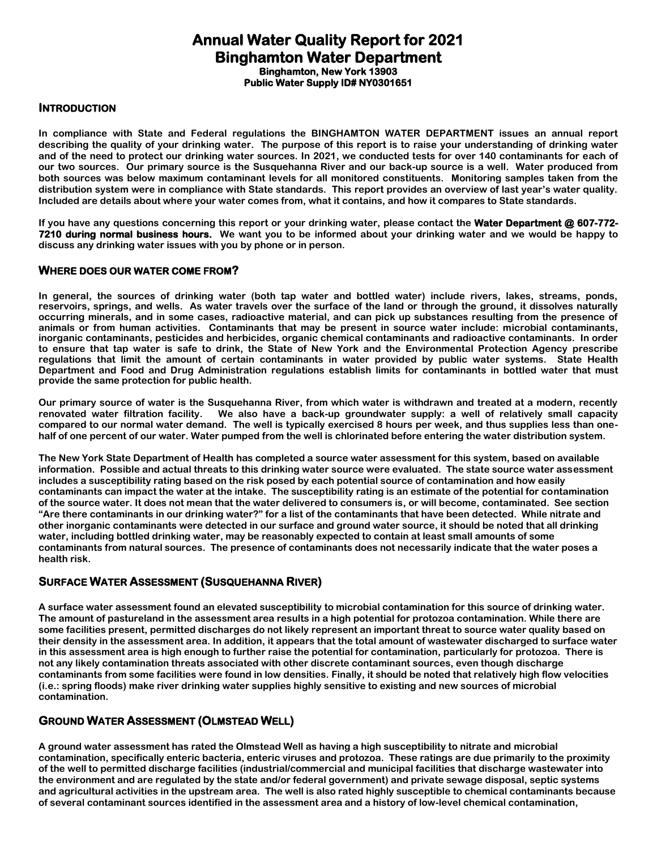# **Annual Water Quality Report for 2021 Binghamton Water Department Binghamton, New York 13903 Public Water Supply ID# NY0301651**

## **INTRODUCTION**

**In compliance with State and Federal regulations the BINGHAMTON WATER DEPARTMENT issues an annual report describing the quality of your drinking water. The purpose of this report is to raise your understanding of drinking water and of the need to protect our drinking water sources. In 2021, we conducted tests for over 140 contaminants for each of our two sources. Our primary source is the Susquehanna River and our back-up source is a well. Water produced from both sources was below maximum contaminant levels for all monitored constituents. Monitoring samples taken from the distribution system were in compliance with State standards. This report provides an overview of last year's water quality. Included are details about where your water comes from, what it contains, and how it compares to State standards.** 

**If you have any questions concerning this report or your drinking water, please contact the Water Department @ 607-772- 7210 during normal business hours. We want you to be informed about your drinking water and we would be happy to discuss any drinking water issues with you by phone or in person.**

### **WHERE DOES OUR WATER COME FROM?**

**In general, the sources of drinking water (both tap water and bottled water) include rivers, lakes, streams, ponds, reservoirs, springs, and wells. As water travels over the surface of the land or through the ground, it dissolves naturally occurring minerals, and in some cases, radioactive material, and can pick up substances resulting from the presence of animals or from human activities. Contaminants that may be present in source water include: microbial contaminants, inorganic contaminants, pesticides and herbicides, organic chemical contaminants and radioactive contaminants. In order to ensure that tap water is safe to drink, the State of New York and the Environmental Protection Agency prescribe regulations that limit the amount of certain contaminants in water provided by public water systems. State Health Department and Food and Drug Administration regulations establish limits for contaminants in bottled water that must provide the same protection for public health.**

**Our primary source of water is the Susquehanna River, from which water is withdrawn and treated at a modern, recently renovated water filtration facility. We also have a back-up groundwater supply: a well of relatively small capacity compared to our normal water demand. The well is typically exercised 8 hours per week, and thus supplies less than onehalf of one percent of our water. Water pumped from the well is chlorinated before entering the water distribution system.**

**The New York State Department of Health has completed a source water assessment for this system, based on available information. Possible and actual threats to this drinking water source were evaluated. The state source water assessment includes a susceptibility rating based on the risk posed by each potential source of contamination and how easily contaminants can impact the water at the intake. The susceptibility rating is an estimate of the potential for contamination of the source water. It does not mean that the water delivered to consumers is, or will become, contaminated. See section "Are there contaminants in our drinking water?" for a list of the contaminants that have been detected. While nitrate and other inorganic contaminants were detected in our surface and ground water source, it should be noted that all drinking water, including bottled drinking water, may be reasonably expected to contain at least small amounts of some contaminants from natural sources. The presence of contaminants does not necessarily indicate that the water poses a health risk.**

### **SURFACE WATER ASSESSMENT (SUSQUEHANNA RIVER)**

**A surface water assessment found an elevated susceptibility to microbial contamination for this source of drinking water. The amount of pastureland in the assessment area results in a high potential for protozoa contamination. While there are some facilities present, permitted discharges do not likely represent an important threat to source water quality based on their density in the assessment area. In addition, it appears that the total amount of wastewater discharged to surface water in this assessment area is high enough to further raise the potential for contamination, particularly for protozoa. There is not any likely contamination threats associated with other discrete contaminant sources, even though discharge contaminants from some facilities were found in low densities. Finally, it should be noted that relatively high flow velocities (i.e.: spring floods) make river drinking water supplies highly sensitive to existing and new sources of microbial contamination.**

## **GROUND WATER ASSESSMENT (OLMSTEAD WELL)**

**A ground water assessment has rated the Olmstead Well as having a high susceptibility to nitrate and microbial contamination, specifically enteric bacteria, enteric viruses and protozoa. These ratings are due primarily to the proximity of the well to permitted discharge facilities (industrial/commercial and municipal facilities that discharge wastewater into the environment and are regulated by the state and/or federal government) and private sewage disposal, septic systems and agricultural activities in the upstream area. The well is also rated highly susceptible to chemical contaminants because of several contaminant sources identified in the assessment area and a history of low-level chemical contamination,**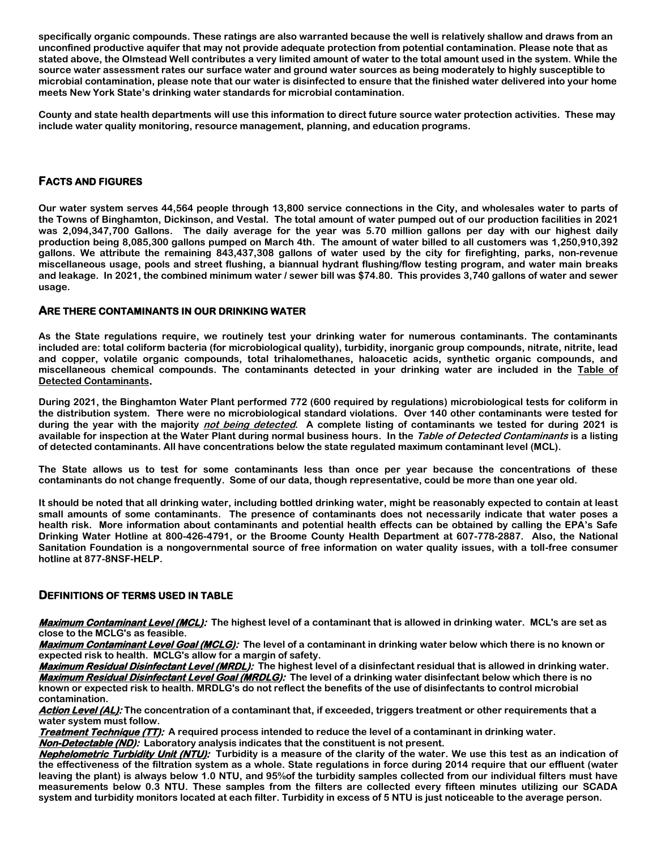**specifically organic compounds. These ratings are also warranted because the well is relatively shallow and draws from an unconfined productive aquifer that may not provide adequate protection from potential contamination. Please note that as stated above, the Olmstead Well contributes a very limited amount of water to the total amount used in the system. While the source water assessment rates our surface water and ground water sources as being moderately to highly susceptible to microbial contamination, please note that our water is disinfected to ensure that the finished water delivered into your home meets New York State's drinking water standards for microbial contamination.**

**County and state health departments will use this information to direct future source water protection activities. These may include water quality monitoring, resource management, planning, and education programs.** 

### **FACTS AND FIGURES**

**Our water system serves 44,564 people through 13,800 service connections in the City, and wholesales water to parts of the Towns of Binghamton, Dickinson, and Vestal. The total amount of water pumped out of our production facilities in 2021 was 2,094,347,700 Gallons. The daily average for the year was 5.70 million gallons per day with our highest daily production being 8,085,300 gallons pumped on March 4th. The amount of water billed to all customers was 1,250,910,392 gallons. We attribute the remaining 843,437,308 gallons of water used by the city for firefighting, parks, non-revenue miscellaneous usage, pools and street flushing, a biannual hydrant flushing/flow testing program, and water main breaks and leakage. In 2021, the combined minimum water / sewer bill was \$74.80. This provides 3,740 gallons of water and sewer usage.**

### **ARE THERE CONTAMINANTS IN OUR DRINKING WATER**

**As the State regulations require, we routinely test your drinking water for numerous contaminants. The contaminants included are: total coliform bacteria (for microbiological quality), turbidity, inorganic group compounds, nitrate, nitrite, lead and copper, volatile organic compounds, total trihalomethanes, haloacetic acids, synthetic organic compounds, and miscellaneous chemical compounds. The contaminants detected in your drinking water are included in the Table of Detected Contaminants.** 

**During 2021, the Binghamton Water Plant performed 772 (600 required by regulations) microbiological tests for coliform in the distribution system. There were no microbiological standard violations. Over 140 other contaminants were tested for during the year with the majority not being detected. A complete listing of contaminants we tested for during 2021 is available for inspection at the Water Plant during normal business hours. In the Table of Detected Contaminants is a listing of detected contaminants. All have concentrations below the state regulated maximum contaminant level (MCL).** 

**The State allows us to test for some contaminants less than once per year because the concentrations of these contaminants do not change frequently. Some of our data, though representative, could be more than one year old.** 

**It should be noted that all drinking water, including bottled drinking water, might be reasonably expected to contain at least small amounts of some contaminants. The presence of contaminants does not necessarily indicate that water poses a health risk. More information about contaminants and potential health effects can be obtained by calling the EPA's Safe Drinking Water Hotline at 800-426-4791, or the Broome County Health Department at 607-778-2887. Also, the National Sanitation Foundation is a nongovernmental source of free information on water quality issues, with a toll-free consumer hotline at 877-8NSF-HELP.** 

#### **DEFINITIONS OF TERMS USED IN TABLE**

**Maximum Contaminant Level (MCL): The highest level of a contaminant that is allowed in drinking water. MCL's are set as close to the MCLG's as feasible.**

**Maximum Contaminant Level Goal (MCLG): The level of a contaminant in drinking water below which there is no known or expected risk to health. MCLG's allow for a margin of safety.**

**Maximum Residual Disinfectant Level (MRDL): The highest level of a disinfectant residual that is allowed in drinking water. Maximum Residual Disinfectant Level Goal (MRDLG): The level of a drinking water disinfectant below which there is no known or expected risk to health. MRDLG's do not reflect the benefits of the use of disinfectants to control microbial contamination.**

**Action Level (AL): The concentration of a contaminant that, if exceeded, triggers treatment or other requirements that a water system must follow.**

**Treatment Technique (TT): A required process intended to reduce the level of a contaminant in drinking water. Non-Detectable (ND): Laboratory analysis indicates that the constituent is not present.**

**Nephelometric Turbidity Unit (NTU): Turbidity is a measure of the clarity of the water. We use this test as an indication of the effectiveness of the filtration system as a whole. State regulations in force during 2014 require that our effluent (water leaving the plant) is always below 1.0 NTU, and 95%of the turbidity samples collected from our individual filters must have measurements below 0.3 NTU. These samples from the filters are collected every fifteen minutes utilizing our SCADA system and turbidity monitors located at each filter. Turbidity in excess of 5 NTU is just noticeable to the average person.**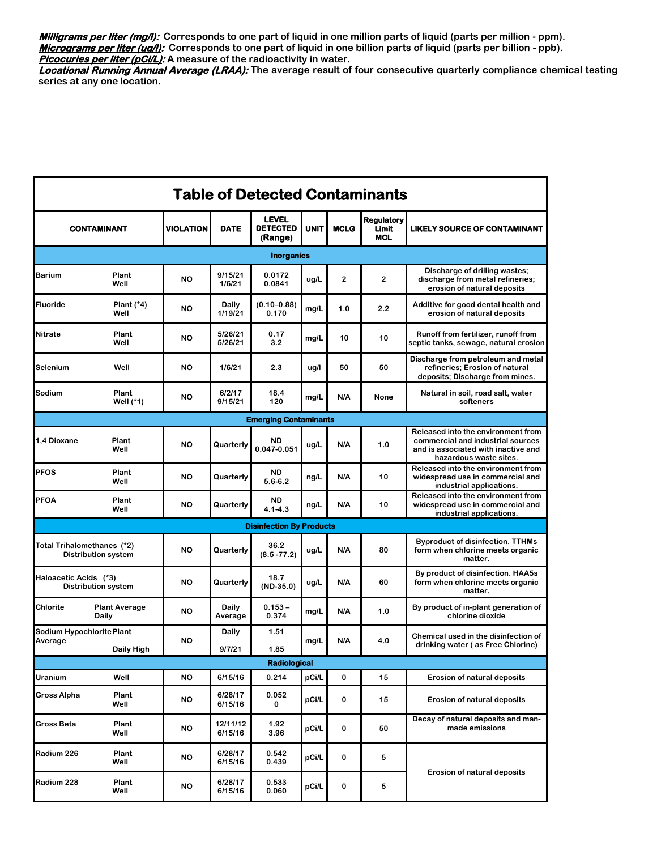**Milligrams per liter (mg/l): Corresponds to one part of liquid in one million parts of liquid (parts per million - ppm). Micrograms per liter (ug/l): Corresponds to one part of liquid in one billion parts of liquid (parts per billion - ppb). Picocuries per liter (pCi/L): A measure of the radioactivity in water.**

**Locational Running Annual Average (LRAA): The average result of four consecutive quarterly compliance chemical testing series at any one location.**

| <b>Table of Detected Contaminants</b>                    |                               |                  |                     |                                            |             |                |                                          |                                                                                                                                          |  |
|----------------------------------------------------------|-------------------------------|------------------|---------------------|--------------------------------------------|-------------|----------------|------------------------------------------|------------------------------------------------------------------------------------------------------------------------------------------|--|
| <b>CONTAMINANT</b>                                       |                               | <b>VIOLATION</b> | <b>DATE</b>         | <b>LEVEL</b><br><b>DETECTED</b><br>(Range) | <b>UNIT</b> | <b>MCLG</b>    | <b>Regulatory</b><br>Limit<br><b>MCL</b> | <b>LIKELY SOURCE OF CONTAMINANT</b>                                                                                                      |  |
| <b>Inorganics</b>                                        |                               |                  |                     |                                            |             |                |                                          |                                                                                                                                          |  |
| <b>Barium</b>                                            | Plant<br>Well                 | NO               | 9/15/21<br>1/6/21   | 0.0172<br>0.0841                           | ug/L        | $\overline{2}$ | $\overline{2}$                           | Discharge of drilling wastes;<br>discharge from metal refineries;<br>erosion of natural deposits                                         |  |
| <b>Fluoride</b>                                          | Plant $(*4)$<br>Well          | NO               | Daily<br>1/19/21    | $(0.10 - 0.88)$<br>0.170                   | mg/L        | 1.0            | 2.2                                      | Additive for good dental health and<br>erosion of natural deposits                                                                       |  |
| <b>Nitrate</b>                                           | Plant<br>Well                 | NO               | 5/26/21<br>5/26/21  | 0.17<br>3.2                                | mg/L        | 10             | 10                                       | Runoff from fertilizer, runoff from<br>septic tanks, sewage, natural erosion                                                             |  |
| Selenium                                                 | Well                          | NO               | 1/6/21              | 2.3                                        | ug/l        | 50             | 50                                       | Discharge from petroleum and metal<br>refineries; Erosion of natural<br>deposits; Discharge from mines.                                  |  |
| Sodium                                                   | Plant<br>Well $(*1)$          | NO               | 6/2/17<br>9/15/21   | 18.4<br>120                                | mg/L        | N/A            | None                                     | Natural in soil, road salt, water<br>softeners                                                                                           |  |
|                                                          |                               |                  |                     | <b>Emerging Contaminants</b>               |             |                |                                          |                                                                                                                                          |  |
| 1,4 Dioxane                                              | Plant<br>Well                 | NO               | Quarterly           | ND<br>0.047-0.051                          | ug/L        | N/A            | 1.0                                      | Released into the environment from<br>commercial and industrial sources<br>and is associated with inactive and<br>hazardous waste sites. |  |
| <b>PFOS</b>                                              | Plant<br>Well                 | NO               | Quarterly           | ND<br>$5.6 - 6.2$                          | ng/L        | N/A            | 10                                       | Released into the environment from<br>widespread use in commercial and<br>industrial applications.                                       |  |
| <b>PFOA</b>                                              | Plant<br>Well                 | NO               | Quarterly           | <b>ND</b><br>$4.1 - 4.3$                   | ng/L        | N/A            | 10                                       | Released into the environment from<br>widespread use in commercial and<br>industrial applications.                                       |  |
|                                                          |                               |                  |                     | <b>Disinfection By Products</b>            |             |                |                                          |                                                                                                                                          |  |
| Total Trihalomethanes (*2)<br><b>Distribution system</b> |                               | NO               | Quarterly           | 36.2<br>$(8.5 - 77.2)$                     | ug/L        | N/A            | 80                                       | <b>Byproduct of disinfection. TTHMs</b><br>form when chlorine meets organic<br>matter.                                                   |  |
| Haloacetic Acids (*3)                                    | <b>Distribution system</b>    | NO               | Quarterly           | 18.7<br>$(ND-35.0)$                        | ug/L        | N/A            | 60                                       | By product of disinfection. HAA5s<br>form when chlorine meets organic<br>matter.                                                         |  |
| Chlorite                                                 | <b>Plant Average</b><br>Daily | NO               | Daily<br>Average    | $0.153 -$<br>0.374                         | mg/L        | N/A            | 1.0                                      | By product of in-plant generation of<br>chlorine dioxide                                                                                 |  |
| Sodium Hypochlorite Plant<br>Average                     | Daily High                    | NO               | Daily<br>9/7/21     | 1.51<br>1.85                               | mg/L        | N/A            | 4.0                                      | Chemical used in the disinfection of<br>drinking water (as Free Chlorine)                                                                |  |
|                                                          |                               |                  |                     | <b>Radiological</b>                        |             |                |                                          |                                                                                                                                          |  |
| Uranium                                                  | Well                          | NO               | 6/15/16             | 0.214                                      | pCi/L       | 0              | 15                                       | <b>Erosion of natural deposits</b>                                                                                                       |  |
| Gross Alpha                                              | Plant<br>Well                 | NO               | 6/28/17<br>6/15/16  | 0.052<br>0                                 | pCi/L       | 0              | 15                                       | <b>Erosion of natural deposits</b>                                                                                                       |  |
| Gross Beta                                               | Plant<br>Well                 | NO               | 12/11/12<br>6/15/16 | 1.92<br>3.96                               | pCi/L       | 0              | 50                                       | Decay of natural deposits and man-<br>made emissions                                                                                     |  |
| Radium 226                                               | Plant<br>Well                 | NO               | 6/28/17<br>6/15/16  | 0.542<br>0.439                             | pCi/L       | 0              | 5                                        |                                                                                                                                          |  |
| Radium 228                                               | Plant<br>Well                 | NO               | 6/28/17<br>6/15/16  | 0.533<br>0.060                             | pCi/L       | 0              | 5                                        | <b>Erosion of natural deposits</b>                                                                                                       |  |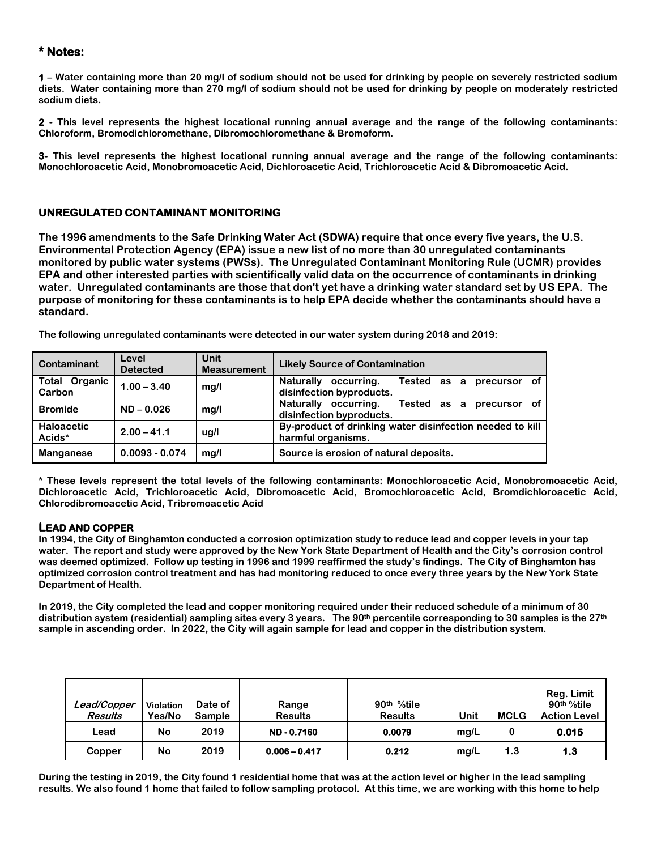## **\* Notes:**

**1 – Water containing more than 20 mg/l of sodium should not be used for drinking by people on severely restricted sodium diets. Water containing more than 270 mg/l of sodium should not be used for drinking by people on moderately restricted sodium diets.**

**2 - This level represents the highest locational running annual average and the range of the following contaminants: Chloroform, Bromodichloromethane, Dibromochloromethane & Bromoform.**

**3- This level represents the highest locational running annual average and the range of the following contaminants: Monochloroacetic Acid, Monobromoacetic Acid, Dichloroacetic Acid, Trichloroacetic Acid & Dibromoacetic Acid.**

## **UNREGULATED CONTAMINANT MONITORING**

**The 1996 amendments to the Safe Drinking Water Act (SDWA) require that once every five years, the U.S. Environmental Protection Agency (EPA) issue a new list of no more than 30 unregulated contaminants monitored by public water systems (PWSs). The Unregulated Contaminant Monitoring Rule (UCMR) provides EPA and other interested parties with scientifically valid data on the occurrence of contaminants in drinking water. Unregulated contaminants are those that don't yet have a drinking water standard set by US EPA. The purpose of monitoring for these contaminants is to help EPA decide whether the contaminants should have a standard.** 

| Contaminant                    | Level<br><b>Detected</b> | <b>Unit</b><br><b>Measurement</b> | <b>Likely Source of Contamination</b>                                              |  |  |  |  |
|--------------------------------|--------------------------|-----------------------------------|------------------------------------------------------------------------------------|--|--|--|--|
| <b>Total Organic</b><br>Carbon | $1.00 - 3.40$            | mg/l                              | Naturally<br>Tested as a<br>occurring.<br>precursor of<br>disinfection byproducts. |  |  |  |  |
| <b>Bromide</b>                 | $ND - 0.026$             | mg/l                              | Naturally occurring.<br>Tested as a<br>precursor of<br>disinfection byproducts.    |  |  |  |  |
| Haloacetic<br>$Acids^*$        | $2.00 - 41.1$            | $\mu$ g/l                         | By-product of drinking water disinfection needed to kill<br>harmful organisms.     |  |  |  |  |
| Manganese                      | $0.0093 - 0.074$         | mq/l                              | Source is erosion of natural deposits.                                             |  |  |  |  |

**The following unregulated contaminants were detected in our water system during 2018 and 2019:**

**\* These levels represent the total levels of the following contaminants: Monochloroacetic Acid, Monobromoacetic Acid, Dichloroacetic Acid, Trichloroacetic Acid, Dibromoacetic Acid, Bromochloroacetic Acid, Bromdichloroacetic Acid, Chlorodibromoacetic Acid, Tribromoacetic Acid**

### **LEAD AND COPPER**

**In 1994, the City of Binghamton conducted a corrosion optimization study to reduce lead and copper levels in your tap water. The report and study were approved by the New York State Department of Health and the City's corrosion control was deemed optimized. Follow up testing in 1996 and 1999 reaffirmed the study's findings. The City of Binghamton has optimized corrosion control treatment and has had monitoring reduced to once every three years by the New York State Department of Health.**

**In 2019, the City completed the lead and copper monitoring required under their reduced schedule of a minimum of 30 distribution system (residential) sampling sites every 3 years. The 90th percentile corresponding to 30 samples is the 27th sample in ascending order. In 2022, the City will again sample for lead and copper in the distribution system.**

| Lead/Copper<br><b>Results</b> | <b>Violation</b><br>Yes/No | Date of<br><b>Sample</b> | Range<br><b>Results</b> | 90 <sup>th</sup> %tile<br><b>Results</b> | Unit | <b>MCLG</b> | Reg. Limit<br>90th %tile<br><b>Action Level</b> |
|-------------------------------|----------------------------|--------------------------|-------------------------|------------------------------------------|------|-------------|-------------------------------------------------|
| Lead                          | No                         | 2019                     | ND - 0.7160             | 0.0079                                   | mg/L | 0           | 0.015                                           |
| Copper                        | No                         | 2019                     | $0.006 - 0.417$         | 0.212                                    | mg/L | 1.3         | 1.3                                             |

**During the testing in 2019, the City found 1 residential home that was at the action level or higher in the lead sampling results. We also found 1 home that failed to follow sampling protocol. At this time, we are working with this home to help**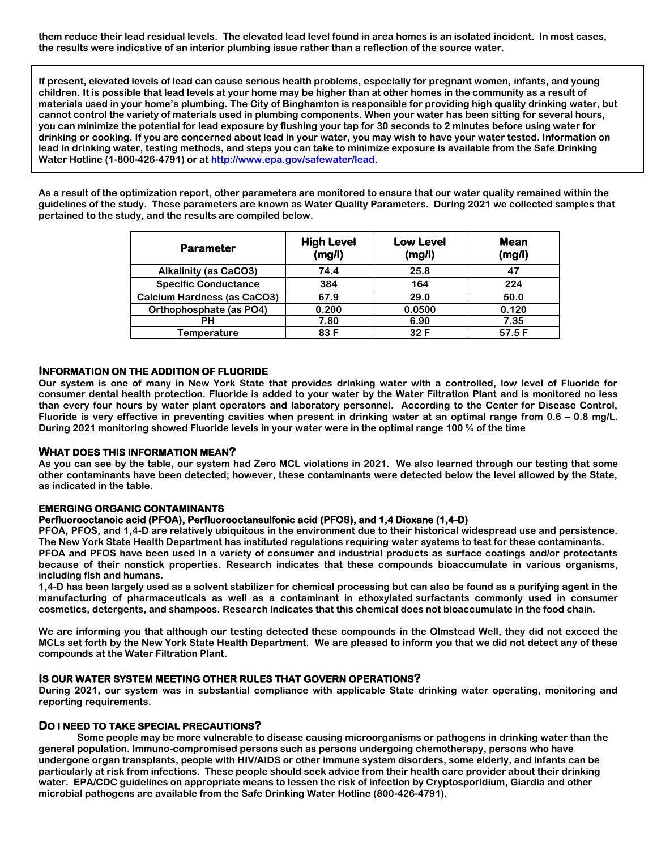**them reduce their lead residual levels. The elevated lead level found in area homes is an isolated incident. In most cases, the results were indicative of an interior plumbing issue rather than a reflection of the source water.**

**If present, elevated levels of lead can cause serious health problems, especially for pregnant women, infants, and young children. It is possible that lead levels at your home may be higher than at other homes in the community as a result of materials used in your home's plumbing. The City of Binghamton is responsible for providing high quality drinking water, but cannot control the variety of materials used in plumbing components. When your water has been sitting for several hours, you can minimize the potential for lead exposure by flushing your tap for 30 seconds to 2 minutes before using water for drinking or cooking. If you are concerned about lead in your water, you may wish to have your water tested. Information on lead in drinking water, testing methods, and steps you can take to minimize exposure is available from the Safe Drinking Water Hotline (1-800-426-4791) or a[t http://www.epa.gov/safewater/lead.](http://www.epa.gov/safewater/lead)** 

**As a result of the optimization report, other parameters are monitored to ensure that our water quality remained within the guidelines of the study. These parameters are known as Water Quality Parameters. During 2021 we collected samples that pertained to the study, and the results are compiled below.** 

| <b>Parameter</b>                   | <b>High Level</b><br>(mg/l) | <b>Low Level</b><br>(mg/l) | <b>Mean</b><br>(mg/l) |
|------------------------------------|-----------------------------|----------------------------|-----------------------|
| <b>Alkalinity (as CaCO3)</b>       | 74.4                        | 25.8                       | 47                    |
| <b>Specific Conductance</b>        | 384                         | 164                        | 224                   |
| <b>Calcium Hardness (as CaCO3)</b> | 67.9                        | 29.0                       | 50.0                  |
| Orthophosphate (as PO4)            | 0.200                       | 0.0500                     | 0.120                 |
| PН                                 | 7.80                        | 6.90                       | 7.35                  |
| Temperature                        | 83 F                        | 32F                        | 57.5 F                |

#### **INFORMATION ON THE ADDITION OF FLUORIDE**

**Our system is one of many in New York State that provides drinking water with a controlled, low level of Fluoride for consumer dental health protection. Fluoride is added to your water by the Water Filtration Plant and is monitored no less than every four hours by water plant operators and laboratory personnel. According to the Center for Disease Control, Fluoride is very effective in preventing cavities when present in drinking water at an optimal range from 0.6 – 0.8 mg/L. During 2021 monitoring showed Fluoride levels in your water were in the optimal range 100 % of the time**

#### **WHAT DOES THIS INFORMATION MEAN?**

**As you can see by the table, our system had Zero MCL violations in 2021. We also learned through our testing that some other contaminants have been detected; however, these contaminants were detected below the level allowed by the State, as indicated in the table.**

#### **EMERGING ORGANIC CONTAMINANTS**

#### **Perfluorooctanoic acid (PFOA), Perfluorooctansulfonic acid (PFOS), and 1,4 Dioxane (1,4-D)**

**PFOA, PFOS, and 1,4-D are relatively ubiquitous in the environment due to their historical widespread use and persistence. The New York State Health Department has instituted regulations requiring water systems to test for these contaminants. PFOA and PFOS have been used in a variety of consumer and industrial products as surface coatings and/or protectants because of their nonstick properties. Research indicates that these compounds bioaccumulate in various organisms, including fish and humans.**

**1,4-D has been largely used as a solvent stabilizer for chemical processing but can also be found as a purifying agent in the manufacturing of pharmaceuticals as well as a contaminant in ethoxylated surfactants commonly used in consumer cosmetics, detergents, and shampoos. Research indicates that this chemical does not bioaccumulate in the food chain.**

**We are informing you that although our testing detected these compounds in the Olmstead Well, they did not exceed the MCLs set forth by the New York State Health Department. We are pleased to inform you that we did not detect any of these compounds at the Water Filtration Plant.**

#### **IS OUR WATER SYSTEM MEETING OTHER RULES THAT GOVERN OPERATIONS?**

**During 2021, our system was in substantial compliance with applicable State drinking water operating, monitoring and reporting requirements.** 

### **DO I NEED TO TAKE SPECIAL PRECAUTIONS?**

**Some people may be more vulnerable to disease causing microorganisms or pathogens in drinking water than the general population. Immuno-compromised persons such as persons undergoing chemotherapy, persons who have undergone organ transplants, people with HIV/AIDS or other immune system disorders, some elderly, and infants can be particularly at risk from infections. These people should seek advice from their health care provider about their drinking water. EPA/CDC guidelines on appropriate means to lessen the risk of infection by Cryptosporidium, Giardia and other microbial pathogens are available from the Safe Drinking Water Hotline (800-426-4791).**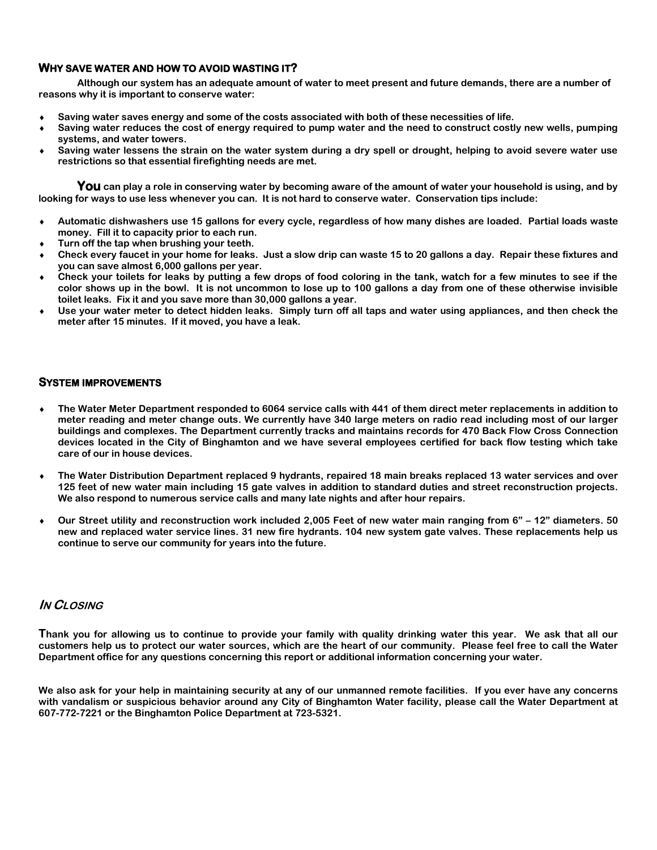### **WHY SAVE WATER AND HOW TO AVOID WASTING IT?**

**Although our system has an adequate amount of water to meet present and future demands, there are a number of reasons why it is important to conserve water:**

- **Saving water saves energy and some of the costs associated with both of these necessities of life.**
- **Saving water reduces the cost of energy required to pump water and the need to construct costly new wells, pumping systems, and water towers.**
- **Saving water lessens the strain on the water system during a dry spell or drought, helping to avoid severe water use restrictions so that essential firefighting needs are met.**

**You can play a role in conserving water by becoming aware of the amount of water your household is using, and by looking for ways to use less whenever you can. It is not hard to conserve water. Conservation tips include:**

- **Automatic dishwashers use 15 gallons for every cycle, regardless of how many dishes are loaded. Partial loads waste money. Fill it to capacity prior to each run.**
- **Turn off the tap when brushing your teeth.**
- **Check every faucet in your home for leaks. Just a slow drip can waste 15 to 20 gallons a day. Repair these fixtures and you can save almost 6,000 gallons per year.**
- **Check your toilets for leaks by putting a few drops of food coloring in the tank, watch for a few minutes to see if the color shows up in the bowl. It is not uncommon to lose up to 100 gallons a day from one of these otherwise invisible toilet leaks. Fix it and you save more than 30,000 gallons a year.**
- **Use your water meter to detect hidden leaks. Simply turn off all taps and water using appliances, and then check the meter after 15 minutes. If it moved, you have a leak.**

## **SYSTEM IMPROVEMENTS**

- **The Water Meter Department responded to 6064 service calls with 441 of them direct meter replacements in addition to meter reading and meter change outs. We currently have 340 large meters on radio read including most of our larger buildings and complexes. The Department currently tracks and maintains records for 470 Back Flow Cross Connection devices located in the City of Binghamton and we have several employees certified for back flow testing which take care of our in house devices.**
- **The Water Distribution Department replaced 9 hydrants, repaired 18 main breaks replaced 13 water services and over 125 feet of new water main including 15 gate valves in addition to standard duties and street reconstruction projects. We also respond to numerous service calls and many late nights and after hour repairs.**
- **Our Street utility and reconstruction work included 2,005 Feet of new water main ranging from 6" – 12" diameters. 50 new and replaced water service lines. 31 new fire hydrants. 104 new system gate valves. These replacements help us continue to serve our community for years into the future.**

### **IN CLOSING**

**Thank you for allowing us to continue to provide your family with quality drinking water this year. We ask that all our customers help us to protect our water sources, which are the heart of our community. Please feel free to call the Water Department office for any questions concerning this report or additional information concerning your water.**

**We also ask for your help in maintaining security at any of our unmanned remote facilities. If you ever have any concerns with vandalism or suspicious behavior around any City of Binghamton Water facility, please call the Water Department at 607-772-7221 or the Binghamton Police Department at 723-5321.**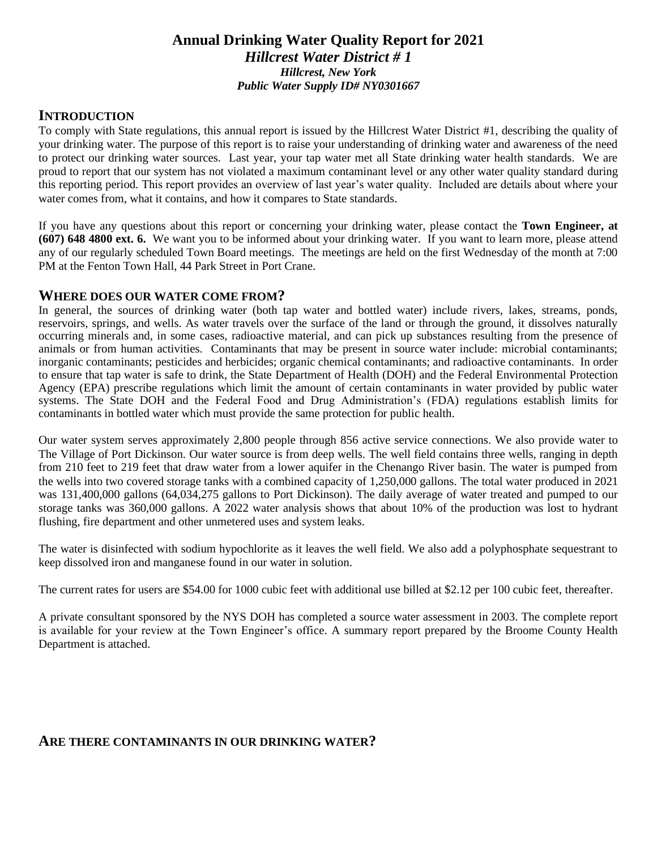# **Annual Drinking Water Quality Report for 2021** *Hillcrest Water District # 1 Hillcrest, New York Public Water Supply ID# NY0301667*

# **INTRODUCTION**

To comply with State regulations, this annual report is issued by the Hillcrest Water District #1, describing the quality of your drinking water. The purpose of this report is to raise your understanding of drinking water and awareness of the need to protect our drinking water sources. Last year, your tap water met all State drinking water health standards. We are proud to report that our system has not violated a maximum contaminant level or any other water quality standard during this reporting period. This report provides an overview of last year's water quality. Included are details about where your water comes from, what it contains, and how it compares to State standards.

If you have any questions about this report or concerning your drinking water, please contact the **Town Engineer, at (607) 648 4800 ext. 6.** We want you to be informed about your drinking water. If you want to learn more, please attend any of our regularly scheduled Town Board meetings. The meetings are held on the first Wednesday of the month at 7:00 PM at the Fenton Town Hall, 44 Park Street in Port Crane.

## **WHERE DOES OUR WATER COME FROM?**

In general, the sources of drinking water (both tap water and bottled water) include rivers, lakes, streams, ponds, reservoirs, springs, and wells. As water travels over the surface of the land or through the ground, it dissolves naturally occurring minerals and, in some cases, radioactive material, and can pick up substances resulting from the presence of animals or from human activities. Contaminants that may be present in source water include: microbial contaminants; inorganic contaminants; pesticides and herbicides; organic chemical contaminants; and radioactive contaminants. In order to ensure that tap water is safe to drink, the State Department of Health (DOH) and the Federal Environmental Protection Agency (EPA) prescribe regulations which limit the amount of certain contaminants in water provided by public water systems. The State DOH and the Federal Food and Drug Administration's (FDA) regulations establish limits for contaminants in bottled water which must provide the same protection for public health.

Our water system serves approximately 2,800 people through 856 active service connections. We also provide water to The Village of Port Dickinson. Our water source is from deep wells. The well field contains three wells, ranging in depth from 210 feet to 219 feet that draw water from a lower aquifer in the Chenango River basin. The water is pumped from the wells into two covered storage tanks with a combined capacity of 1,250,000 gallons. The total water produced in 2021 was 131,400,000 gallons (64,034,275 gallons to Port Dickinson). The daily average of water treated and pumped to our storage tanks was 360,000 gallons. A 2022 water analysis shows that about 10% of the production was lost to hydrant flushing, fire department and other unmetered uses and system leaks.

The water is disinfected with sodium hypochlorite as it leaves the well field. We also add a polyphosphate sequestrant to keep dissolved iron and manganese found in our water in solution.

The current rates for users are \$54.00 for 1000 cubic feet with additional use billed at \$2.12 per 100 cubic feet, thereafter.

A private consultant sponsored by the NYS DOH has completed a source water assessment in 2003. The complete report is available for your review at the Town Engineer's office. A summary report prepared by the Broome County Health Department is attached.

## **ARE THERE CONTAMINANTS IN OUR DRINKING WATER?**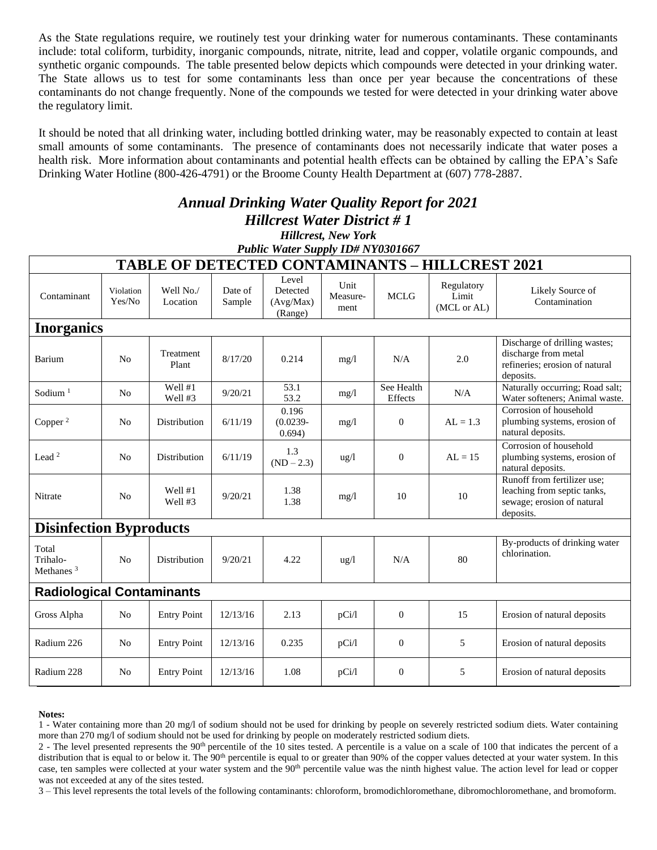As the State regulations require, we routinely test your drinking water for numerous contaminants. These contaminants include: total coliform, turbidity, inorganic compounds, nitrate, nitrite, lead and copper, volatile organic compounds, and synthetic organic compounds. The table presented below depicts which compounds were detected in your drinking water. The State allows us to test for some contaminants less than once per year because the concentrations of these contaminants do not change frequently. None of the compounds we tested for were detected in your drinking water above the regulatory limit.

It should be noted that all drinking water, including bottled drinking water, may be reasonably expected to contain at least small amounts of some contaminants. The presence of contaminants does not necessarily indicate that water poses a health risk. More information about contaminants and potential health effects can be obtained by calling the EPA's Safe Drinking Water Hotline (800-426-4791) or the Broome County Health Department at (607) 778-2887.

# *Annual Drinking Water Quality Report for 2021 Hillcrest Water District # 1 Hillcrest, New York*

*Public Water Supply ID# NY0301667*

| <b>TABLE OF DETECTED CONTAMINANTS - HILLCREST 2021</b> |                     |                           |                   |                                           |                          |                       |                                    |                                                                                                       |
|--------------------------------------------------------|---------------------|---------------------------|-------------------|-------------------------------------------|--------------------------|-----------------------|------------------------------------|-------------------------------------------------------------------------------------------------------|
| Contaminant                                            | Violation<br>Yes/No | Well No./<br>Location     | Date of<br>Sample | Level<br>Detected<br>(Avg/Max)<br>(Range) | Unit<br>Measure-<br>ment | <b>MCLG</b>           | Regulatory<br>Limit<br>(MCL or AL) | Likely Source of<br>Contamination                                                                     |
| <b>Inorganics</b>                                      |                     |                           |                   |                                           |                          |                       |                                    |                                                                                                       |
| Barium                                                 | No                  | <b>Treatment</b><br>Plant | 8/17/20           | 0.214                                     | mg/l                     | N/A                   | 2.0                                | Discharge of drilling wastes;<br>discharge from metal<br>refineries; erosion of natural<br>deposits.  |
| Sodium $1$                                             | N <sub>0</sub>      | Well #1<br>Well #3        | 9/20/21           | 53.1<br>53.2                              | mg/l                     | See Health<br>Effects | N/A                                | Naturally occurring; Road salt;<br>Water softeners; Animal waste.                                     |
| Copper $2$                                             | No                  | <b>Distribution</b>       | 6/11/19           | 0.196<br>$(0.0239 -$<br>0.694)            | mg/l                     | $\mathbf{0}$          | $AL = 1.3$                         | Corrosion of household<br>plumbing systems, erosion of<br>natural deposits.                           |
| Lead $2$                                               | No                  | Distribution              | 6/11/19           | 1.3<br>$(ND - 2.3)$                       | $\frac{u g}{l}$          | $\mathbf{0}$          | $AL = 15$                          | Corrosion of household<br>plumbing systems, erosion of<br>natural deposits.                           |
| Nitrate                                                | N <sub>0</sub>      | Well #1<br>Well #3        | 9/20/21           | 1.38<br>1.38                              | mg/1                     | 10                    | 10                                 | Runoff from fertilizer use:<br>leaching from septic tanks,<br>sewage; erosion of natural<br>deposits. |
| <b>Disinfection Byproducts</b>                         |                     |                           |                   |                                           |                          |                       |                                    |                                                                                                       |
| Total<br>Trihalo-<br>Methanes <sup>3</sup>             | No                  | Distribution              | 9/20/21           | 4.22                                      | $\frac{u g}{l}$          | N/A                   | 80                                 | By-products of drinking water<br>chlorination.                                                        |
| <b>Radiological Contaminants</b>                       |                     |                           |                   |                                           |                          |                       |                                    |                                                                                                       |
| Gross Alpha                                            | N <sub>0</sub>      | <b>Entry Point</b>        | 12/13/16          | 2.13                                      | pCi/1                    | $\mathbf{0}$          | 15                                 | Erosion of natural deposits                                                                           |
| Radium 226                                             | No                  | <b>Entry Point</b>        | 12/13/16          | 0.235                                     | pCi/l                    | $\Omega$              | 5                                  | Erosion of natural deposits                                                                           |
| Radium 228                                             | N <sub>0</sub>      | <b>Entry Point</b>        | 12/13/16          | 1.08                                      | pCi/1                    | $\mathbf{0}$          | 5                                  | Erosion of natural deposits                                                                           |

#### **Notes:**

1 - Water containing more than 20 mg/l of sodium should not be used for drinking by people on severely restricted sodium diets. Water containing more than 270 mg/l of sodium should not be used for drinking by people on moderately restricted sodium diets.

 $2$  - The level presented represents the  $90<sup>th</sup>$  percentile of the 10 sites tested. A percentile is a value on a scale of 100 that indicates the percent of a distribution that is equal to or below it. The 90<sup>th</sup> percentile is equal to or greater than 90% of the copper values detected at your water system. In this case, ten samples were collected at your water system and the 90<sup>th</sup> percentile value was the ninth highest value. The action level for lead or copper was not exceeded at any of the sites tested.

3 – This level represents the total levels of the following contaminants: chloroform, bromodichloromethane, dibromochloromethane, and bromoform.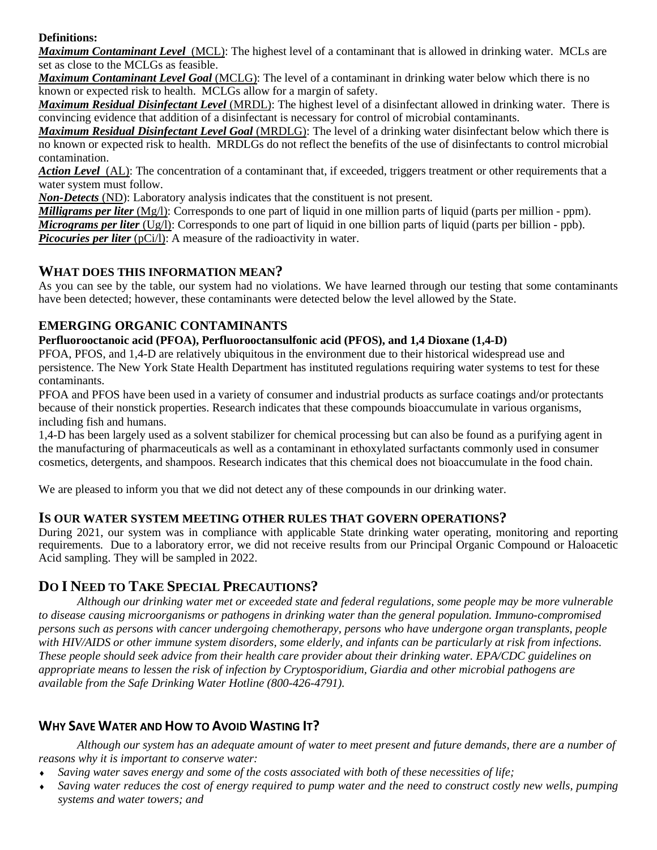## **Definitions:**

*Maximum Contaminant Level*(MCL): The highest level of a contaminant that is allowed in drinking water. MCLs are set as close to the MCLGs as feasible.

*Maximum Contaminant Level Goal* (MCLG): The level of a contaminant in drinking water below which there is no known or expected risk to health. MCLGs allow for a margin of safety.

*Maximum Residual Disinfectant Level* (MRDL): The highest level of a disinfectant allowed in drinking water. There is convincing evidence that addition of a disinfectant is necessary for control of microbial contaminants.

*Maximum Residual Disinfectant Level Goal* (MRDLG): The level of a drinking water disinfectant below which there is no known or expected risk to health. MRDLGs do not reflect the benefits of the use of disinfectants to control microbial contamination.

*Action Level* (AL): The concentration of a contaminant that, if exceeded, triggers treatment or other requirements that a water system must follow.

*Non-Detects* (ND): Laboratory analysis indicates that the constituent is not present.

*Milligrams per liter* (Mg/l): Corresponds to one part of liquid in one million parts of liquid (parts per million - ppm). *Micrograms per liter* (Ug/l): Corresponds to one part of liquid in one billion parts of liquid (parts per billion - ppb). *Picocuries per liter* (pCi/l): A measure of the radioactivity in water.

# **WHAT DOES THIS INFORMATION MEAN?**

As you can see by the table, our system had no violations. We have learned through our testing that some contaminants have been detected; however, these contaminants were detected below the level allowed by the State.

# **EMERGING ORGANIC CONTAMINANTS**

## **Perfluorooctanoic acid (PFOA), Perfluorooctansulfonic acid (PFOS), and 1,4 Dioxane (1,4-D)**

PFOA, PFOS, and 1,4-D are relatively ubiquitous in the environment due to their historical widespread use and persistence. The New York State Health Department has instituted regulations requiring water systems to test for these contaminants.

PFOA and PFOS have been used in a variety of consumer and industrial products as surface coatings and/or protectants because of their nonstick properties. Research indicates that these compounds bioaccumulate in various organisms, including fish and humans.

1,4-D has been largely used as a solvent stabilizer for chemical processing but can also be found as a purifying agent in the manufacturing of pharmaceuticals as well as a contaminant in ethoxylated surfactants commonly used in consumer cosmetics, detergents, and shampoos. Research indicates that this chemical does not bioaccumulate in the food chain.

We are pleased to inform you that we did not detect any of these compounds in our drinking water.

## **IS OUR WATER SYSTEM MEETING OTHER RULES THAT GOVERN OPERATIONS?**

During 2021, our system was in compliance with applicable State drinking water operating, monitoring and reporting requirements. Due to a laboratory error, we did not receive results from our Principal Organic Compound or Haloacetic Acid sampling. They will be sampled in 2022.

# **DO I NEED TO TAKE SPECIAL PRECAUTIONS?**

*Although our drinking water met or exceeded state and federal regulations, some people may be more vulnerable to disease causing microorganisms or pathogens in drinking water than the general population. Immuno-compromised persons such as persons with cancer undergoing chemotherapy, persons who have undergone organ transplants, people with HIV/AIDS or other immune system disorders, some elderly, and infants can be particularly at risk from infections. These people should seek advice from their health care provider about their drinking water. EPA/CDC guidelines on appropriate means to lessen the risk of infection by Cryptosporidium, Giardia and other microbial pathogens are available from the Safe Drinking Water Hotline (800-426-4791).*

# **WHY SAVE WATER AND HOW TO AVOID WASTING IT?**

*Although our system has an adequate amount of water to meet present and future demands, there are a number of reasons why it is important to conserve water:*

- *Saving water saves energy and some of the costs associated with both of these necessities of life;*
- *Saving water reduces the cost of energy required to pump water and the need to construct costly new wells, pumping systems and water towers; and*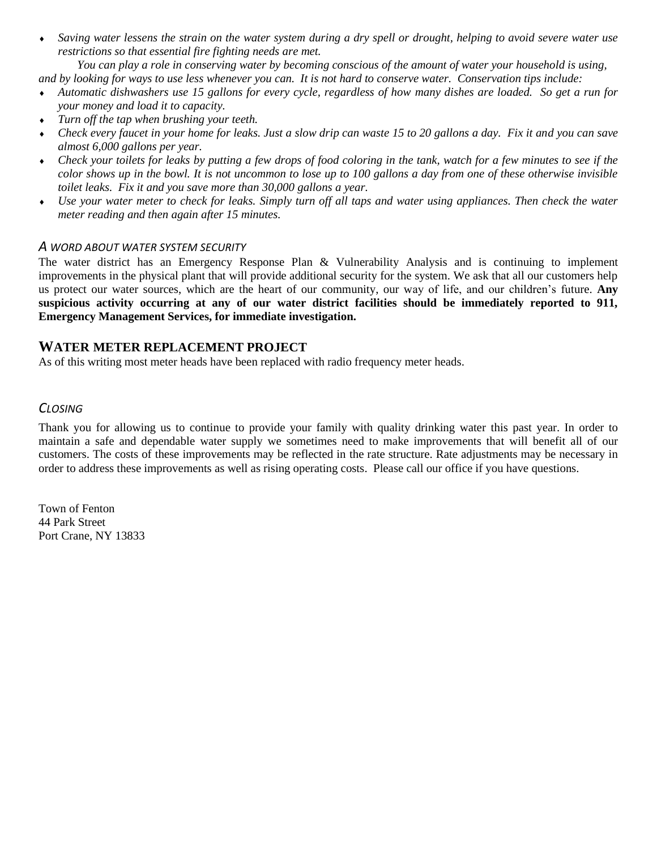*Saving water lessens the strain on the water system during a dry spell or drought, helping to avoid severe water use restrictions so that essential fire fighting needs are met.*

*You can play a role in conserving water by becoming conscious of the amount of water your household is using, and by looking for ways to use less whenever you can. It is not hard to conserve water. Conservation tips include:*

- *Automatic dishwashers use 15 gallons for every cycle, regardless of how many dishes are loaded. So get a run for your money and load it to capacity.*
- *Turn off the tap when brushing your teeth.*
- *Check every faucet in your home for leaks. Just a slow drip can waste 15 to 20 gallons a day. Fix it and you can save almost 6,000 gallons per year.*
- *Check your toilets for leaks by putting a few drops of food coloring in the tank, watch for a few minutes to see if the color shows up in the bowl. It is not uncommon to lose up to 100 gallons a day from one of these otherwise invisible toilet leaks. Fix it and you save more than 30,000 gallons a year.*
- *Use your water meter to check for leaks. Simply turn off all taps and water using appliances. Then check the water meter reading and then again after 15 minutes.*

## *A WORD ABOUT WATER SYSTEM SECURITY*

The water district has an Emergency Response Plan & Vulnerability Analysis and is continuing to implement improvements in the physical plant that will provide additional security for the system. We ask that all our customers help us protect our water sources, which are the heart of our community, our way of life, and our children's future. **Any suspicious activity occurring at any of our water district facilities should be immediately reported to 911, Emergency Management Services, for immediate investigation.**

# **WATER METER REPLACEMENT PROJECT**

As of this writing most meter heads have been replaced with radio frequency meter heads.

# *CLOSING*

Thank you for allowing us to continue to provide your family with quality drinking water this past year. In order to maintain a safe and dependable water supply we sometimes need to make improvements that will benefit all of our customers. The costs of these improvements may be reflected in the rate structure. Rate adjustments may be necessary in order to address these improvements as well as rising operating costs. Please call our office if you have questions.

Town of Fenton 44 Park Street Port Crane, NY 13833